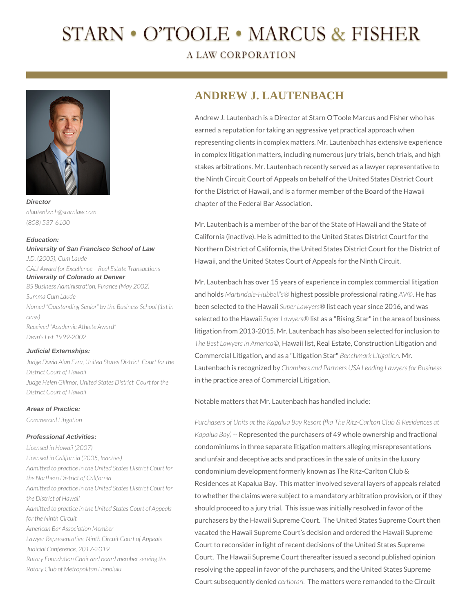# STARN • O'TOOLE • MARCUS & FISHER

**A LAW CORPORATION** 



*alautenbach@starnlaw.com (808) 537-6100*

#### **Education:**

**University of San Francisco School of Law**  *J.D. (2005), Cum Laude CALI Award for Excellence – Real Estate Transactions* **University of Colorado at Denver** *BS Business Administration, Finance (May 2002) Summa Cum Laude Named "Outstanding Senior" by the Business School (1st in class) Received "Academic Athlete Award" Dean's List 1999-2002*

#### **Judicial Externships:**

*Judge David Alan Ezra, United States District Court for the District Court of Hawaii Judge Helen Gillmor, United States District Court for the District Court of Hawaii*

## **Areas of Practice:**

*Commercial Litigation*

## **Professional Activities:**

*Licensed in Hawaii (2007) Licensed in California (2005, Inactive) Admitted to practice in the United States District Court for the Northern District of California Admitted to practice in the United States District Court for the District of Hawaii Admitted to practice in the United States Court of Appeals for the Ninth Circuit American Bar Association Member Lawyer Representative, Ninth Circuit Court of Appeals Judicial Conference, 2017-2019 Rotary Foundation Chair and board member serving the Rotary Club of Metropolitan Honolulu* 

# **ANDREW J. LAUTENBACH**

Andrew J. Lautenbach is a Director at Starn O'Toole Marcus and Fisher who has earned a reputation for taking an aggressive yet practical approach when representing clients in complex matters. Mr. Lautenbach has extensive experience in complex litigation matters, including numerous jury trials, bench trials, and high stakes arbitrations. Mr. Lautenbach recently served as a lawyer representative to the Ninth Circuit Court of Appeals on behalf of the United States District Court for the District of Hawaii, and is a former member of the Board of the Hawaii chapter of the Federal Bar Association.

Mr. Lautenbach is a member of the bar of the State of Hawaii and the State of California (inactive). He is admitted to the United States District Court for the Northern District of California, the United States District Court for the District of Hawaii, and the United States Court of Appeals for the Ninth Circuit.

Mr. Lautenbach has over 15 years of experience in complex commercial litigation and holds *Martindale-Hubbell's®* highest possible professional rating *AV®*. He has been selected to the Hawaii *Super Lawyers*® list each year since 2016, and was selected to the Hawaii *Super Lawyers®* list as a "Rising Star" in the area of business litigation from 2013-2015. Mr. Lautenbach has also been selected for inclusion to *The Best Lawyers in America*©, Hawaii list, Real Estate, Construction Litigation and Commercial Litigation, and as a "Litigation Star" *Benchmark Litigation*. Mr. Lautenbach is recognized by *Chambers and Partners USA Leading Lawyers for Business* in the practice area of Commercial Litigation.

Notable matters that Mr. Lautenbach has handled include:

*Purchasers of Units at the Kapalua Bay Resort (fka The Ritz-Carlton Club & Residences at Kapalua Bay) --* Represented the purchasers of 49 whole ownership and fractional condominiums in three separate litigation matters alleging misrepresentations and unfair and deceptive acts and practices in the sale of units in the luxury condominium development formerly known as The Ritz-Carlton Club & Residences at Kapalua Bay. This matter involved several layers of appeals related to whether the claims were subject to a mandatory arbitration provision, or if they should proceed to a jury trial. This issue was initially resolved in favor of the purchasers by the Hawaii Supreme Court. The United States Supreme Court then vacated the Hawaii Supreme Court's decision and ordered the Hawaii Supreme Court to reconsider in light of recent decisions of the United States Supreme Court. The Hawaii Supreme Court thereafter issued a second published opinion resolving the appeal in favor of the purchasers, and the United States Supreme Court subsequently denied *certiorari.* The matters were remanded to the Circuit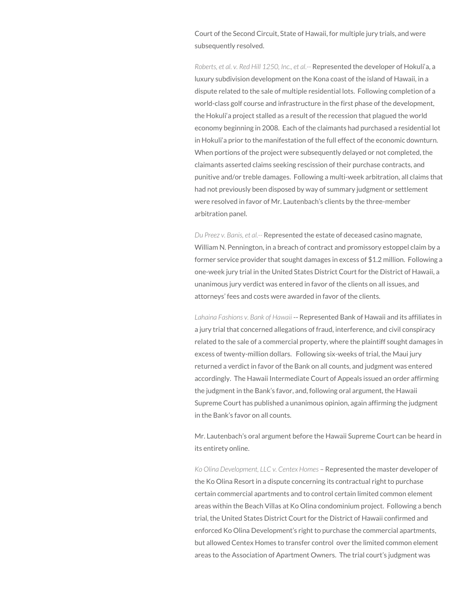Court of the Second Circuit, State of Hawaii, for multiple jury trials, and were subsequently resolved.

*Roberts, et al. v. Red Hill 1250, Inc., et al.--* Represented the developer of Hokuli'a, a luxury subdivision development on the Kona coast of the island of Hawaii, in a dispute related to the sale of multiple residential lots. Following completion of a world-class golf course and infrastructure in the first phase of the development, the Hokuli'a project stalled as a result of the recession that plagued the world economy beginning in 2008. Each of the claimants had purchased a residential lot in Hokuli'a prior to the manifestation of the full effect of the economic downturn. When portions of the project were subsequently delayed or not completed, the claimants asserted claims seeking rescission of their purchase contracts, and punitive and/or treble damages. Following a multi-week arbitration, all claims that had not previously been disposed by way of summary judgment or settlement were resolved in favor of Mr. Lautenbach's clients by the three-member arbitration panel.

*Du Preez v. Banis, et al.--* Represented the estate of deceased casino magnate, William N. Pennington, in a breach of contract and promissory estoppel claim by a former service provider that sought damages in excess of \$1.2 million. Following a one-week jury trial in the United States District Court for the District of Hawaii, a unanimous jury verdict was entered in favor of the clients on all issues, and attorneys' fees and costs were awarded in favor of the clients.

*Lahaina Fashions v. Bank of Hawaii* -- Represented Bank of Hawaii and its affiliates in a jury trial that concerned allegations of fraud, interference, and civil conspiracy related to the sale of a commercial property, where the plaintiff sought damages in excess of twenty-million dollars. Following six-weeks of trial, the Maui jury returned a verdict in favor of the Bank on all counts, and judgment was entered accordingly. The Hawaii Intermediate Court of Appeals issued an order affirming the judgment in the Bank's favor, and, following oral argument, the Hawaii Supreme Court has published a unanimous opinion, again affirming the judgment in the Bank's favor on all counts.

Mr. Lautenbach's oral argument before the Hawaii Supreme Court can be heard in its entirety online.

*Ko Olina Development, LLC v. Centex Homes* – Represented the master developer of the Ko Olina Resort in a dispute concerning its contractual right to purchase certain commercial apartments and to control certain limited common element areas within the Beach Villas at Ko Olina condominium project. Following a bench trial, the United States District Court for the District of Hawaii confirmed and enforced Ko Olina Development's right to purchase the commercial apartments, but allowed Centex Homes to transfer control over the limited common element areas to the Association of Apartment Owners. The trial court's judgment was